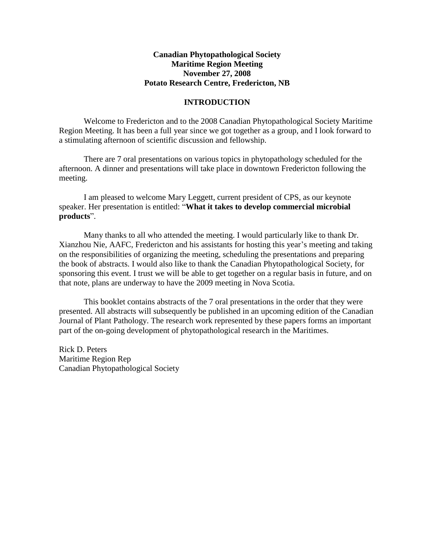# **Canadian Phytopathological Society Maritime Region Meeting November 27, 2008 Potato Research Centre, Fredericton, NB**

## **INTRODUCTION**

Welcome to Fredericton and to the 2008 Canadian Phytopathological Society Maritime Region Meeting. It has been a full year since we got together as a group, and I look forward to a stimulating afternoon of scientific discussion and fellowship.

There are 7 oral presentations on various topics in phytopathology scheduled for the afternoon. A dinner and presentations will take place in downtown Fredericton following the meeting.

I am pleased to welcome Mary Leggett, current president of CPS, as our keynote speaker. Her presentation is entitled: "**What it takes to develop commercial microbial products**".

Many thanks to all who attended the meeting. I would particularly like to thank Dr. Xianzhou Nie, AAFC, Fredericton and his assistants for hosting this year's meeting and taking on the responsibilities of organizing the meeting, scheduling the presentations and preparing the book of abstracts. I would also like to thank the Canadian Phytopathological Society, for sponsoring this event. I trust we will be able to get together on a regular basis in future, and on that note, plans are underway to have the 2009 meeting in Nova Scotia.

This booklet contains abstracts of the 7 oral presentations in the order that they were presented. All abstracts will subsequently be published in an upcoming edition of the Canadian Journal of Plant Pathology. The research work represented by these papers forms an important part of the on-going development of phytopathological research in the Maritimes.

Rick D. Peters Maritime Region Rep Canadian Phytopathological Society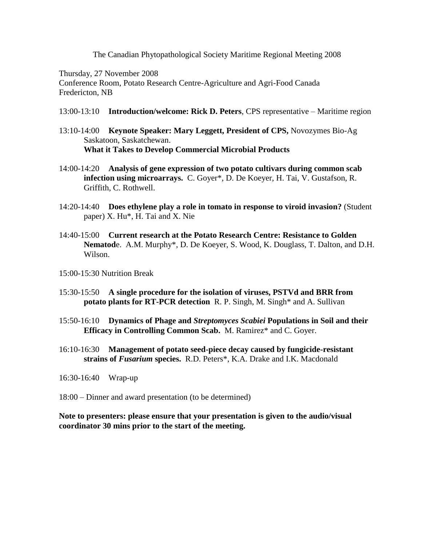The Canadian Phytopathological Society Maritime Regional Meeting 2008

Thursday, 27 November 2008

Conference Room, Potato Research Centre-Agriculture and Agri-Food Canada Fredericton, NB

- 13:00-13:10 **Introduction/welcome: Rick D. Peters**, CPS representative Maritime region
- 13:10-14:00 **Keynote Speaker: Mary Leggett, President of CPS,** Novozymes Bio-Ag Saskatoon, Saskatchewan. **What it Takes to Develop Commercial Microbial Products**
- 14:00-14:20 **Analysis of gene expression of two potato cultivars during common scab infection using microarrays.** C. Goyer\*, D. De Koeyer, H. Tai, V. Gustafson, R. Griffith, C. Rothwell.
- 14:20-14:40 **Does ethylene play a role in tomato in response to viroid invasion?** (Student paper) X. Hu\*, H. Tai and X. Nie
- 14:40-15:00 **Current research at the Potato Research Centre: Resistance to Golden Nematod**e. A.M. Murphy\*, D. De Koeyer, S. Wood, K. Douglass, T. Dalton, and D.H. Wilson.
- 15:00-15:30 Nutrition Break
- 15:30-15:50 **A single procedure for the isolation of viruses, PSTVd and BRR from potato plants for RT-PCR detection** R. P. Singh, M. Singh\* and A. Sullivan
- 15:50-16:10 **Dynamics of Phage and** *Streptomyces Scabiei* **Populations in Soil and their Efficacy in Controlling Common Scab.** M. Ramirez\* and C. Goyer.
- 16:10-16:30 **Management of potato seed-piece decay caused by fungicide-resistant strains of** *Fusarium* **species.** R.D. Peters\*, K.A. Drake and I.K. Macdonald
- 16:30-16:40 Wrap-up
- 18:00 Dinner and award presentation (to be determined)

**Note to presenters: please ensure that your presentation is given to the audio/visual coordinator 30 mins prior to the start of the meeting.**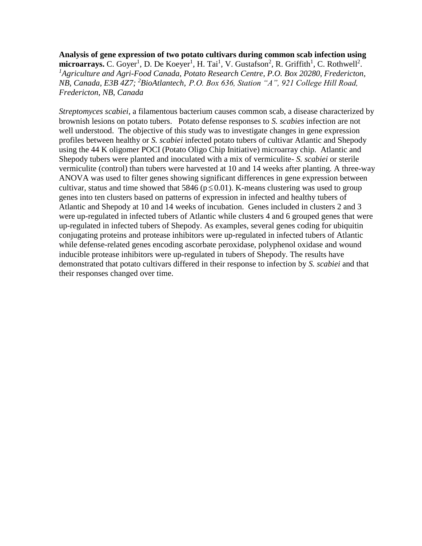**Analysis of gene expression of two potato cultivars during common scab infection using**  microarrays. C. Goyer<sup>1</sup>, D. De Koeyer<sup>1</sup>, H. Tai<sup>1</sup>, V. Gustafson<sup>2</sup>, R. Griffith<sup>1</sup>, C. Rothwell<sup>2</sup>. <sup>1</sup>*Agriculture and Agri-Food Canada, Potato Research Centre, P.O. Box 20280, Fredericton, NB, Canada, E3B 4Z7; <sup>2</sup>BioAtlantech, P.O. Box 636, Station "A", 921 College Hill Road, Fredericton, NB, Canada*

*Streptomyces scabiei*, a filamentous bacterium causes common scab, a disease characterized by brownish lesions on potato tubers. Potato defense responses to *S. scabies* infection are not well understood. The objective of this study was to investigate changes in gene expression profiles between healthy or *S. scabiei* infected potato tubers of cultivar Atlantic and Shepody using the 44 K oligomer POCI (Potato Oligo Chip Initiative) microarray chip. Atlantic and Shepody tubers were planted and inoculated with a mix of vermiculite- *S. scabiei* or sterile vermiculite (control) than tubers were harvested at 10 and 14 weeks after planting. A three-way ANOVA was used to filter genes showing significant differences in gene expression between cultivar, status and time showed that 5846 ( $p \le 0.01$ ). K-means clustering was used to group genes into ten clusters based on patterns of expression in infected and healthy tubers of Atlantic and Shepody at 10 and 14 weeks of incubation. Genes included in clusters 2 and 3 were up-regulated in infected tubers of Atlantic while clusters 4 and 6 grouped genes that were up-regulated in infected tubers of Shepody. As examples, several genes coding for ubiquitin conjugating proteins and protease inhibitors were up-regulated in infected tubers of Atlantic while defense-related genes encoding ascorbate peroxidase, polyphenol oxidase and wound inducible protease inhibitors were up-regulated in tubers of Shepody. The results have demonstrated that potato cultivars differed in their response to infection by *S. scabiei* and that their responses changed over time.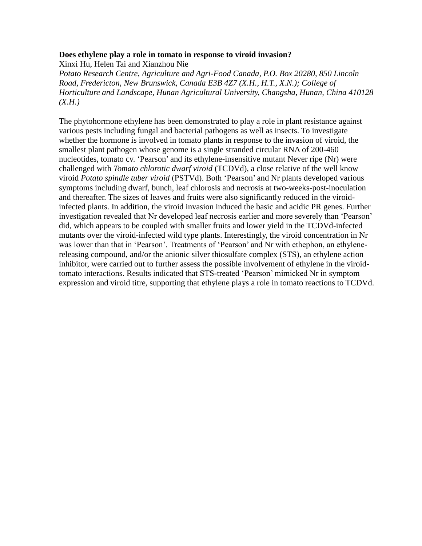### **Does ethylene play a role in tomato in response to viroid invasion?**

Xinxi Hu, Helen Tai and Xianzhou Nie *Potato Research Centre, Agriculture and Agri-Food Canada, P.O. Box 20280, 850 Lincoln Road, Fredericton, New Brunswick, Canada E3B 4Z7 (X.H., H.T., X.N.); College of Horticulture and Landscape, Hunan Agricultural University, Changsha, Hunan, China 410128 (X.H.)*

The phytohormone ethylene has been demonstrated to play a role in plant resistance against various pests including fungal and bacterial pathogens as well as insects. To investigate whether the hormone is involved in tomato plants in response to the invasion of viroid, the smallest plant pathogen whose genome is a single stranded circular RNA of 200-460 nucleotides, tomato cv. 'Pearson' and its ethylene-insensitive mutant Never ripe (Nr) were challenged with *Tomato chlorotic dwarf viroid* (TCDVd), a close relative of the well know viroid *Potato spindle tuber viroid* (PSTVd). Both 'Pearson' and Nr plants developed various symptoms including dwarf, bunch, leaf chlorosis and necrosis at two-weeks-post-inoculation and thereafter. The sizes of leaves and fruits were also significantly reduced in the viroidinfected plants. In addition, the viroid invasion induced the basic and acidic PR genes. Further investigation revealed that Nr developed leaf necrosis earlier and more severely than 'Pearson' did, which appears to be coupled with smaller fruits and lower yield in the TCDVd-infected mutants over the viroid-infected wild type plants. Interestingly, the viroid concentration in Nr was lower than that in 'Pearson'. Treatments of 'Pearson' and Nr with ethephon, an ethylenereleasing compound, and/or the anionic silver thiosulfate complex (STS), an ethylene action inhibitor, were carried out to further assess the possible involvement of ethylene in the viroidtomato interactions. Results indicated that STS-treated 'Pearson' mimicked Nr in symptom expression and viroid titre, supporting that ethylene plays a role in tomato reactions to TCDVd.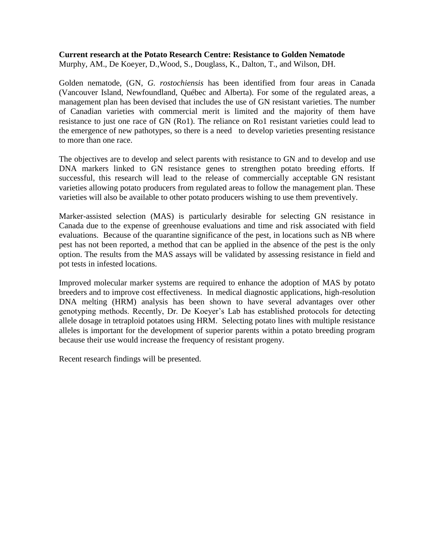#### **Current research at the Potato Research Centre: Resistance to Golden Nematode** Murphy, AM., De Koeyer, D.,Wood, S., Douglass, K., Dalton, T., and Wilson, DH.

Golden nematode, (GN, *G. rostochiensis* has been identified from four areas in Canada (Vancouver Island, Newfoundland, Québec and Alberta). For some of the regulated areas, a management plan has been devised that includes the use of GN resistant varieties. The number of Canadian varieties with commercial merit is limited and the majority of them have resistance to just one race of GN (Ro1). The reliance on Ro1 resistant varieties could lead to the emergence of new pathotypes, so there is a need to develop varieties presenting resistance to more than one race.

The objectives are to develop and select parents with resistance to GN and to develop and use DNA markers linked to GN resistance genes to strengthen potato breeding efforts. If successful, this research will lead to the release of commercially acceptable GN resistant varieties allowing potato producers from regulated areas to follow the management plan. These varieties will also be available to other potato producers wishing to use them preventively.

Marker-assisted selection (MAS) is particularly desirable for selecting GN resistance in Canada due to the expense of greenhouse evaluations and time and risk associated with field evaluations. Because of the quarantine significance of the pest, in locations such as NB where pest has not been reported, a method that can be applied in the absence of the pest is the only option. The results from the MAS assays will be validated by assessing resistance in field and pot tests in infested locations.

Improved molecular marker systems are required to enhance the adoption of MAS by potato breeders and to improve cost effectiveness. In medical diagnostic applications, high-resolution DNA melting (HRM) analysis has been shown to have several advantages over other genotyping methods. Recently, Dr. De Koeyer's Lab has established protocols for detecting allele dosage in tetraploid potatoes using HRM. Selecting potato lines with multiple resistance alleles is important for the development of superior parents within a potato breeding program because their use would increase the frequency of resistant progeny.

Recent research findings will be presented.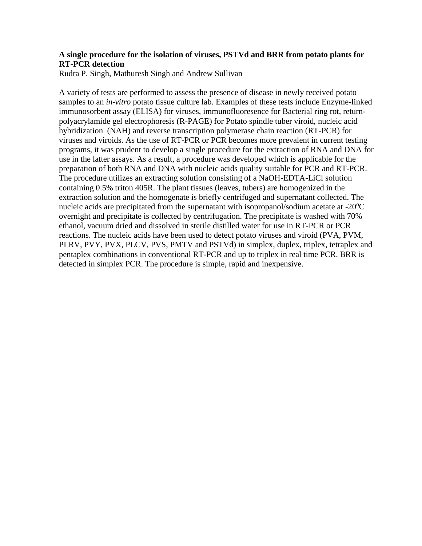# **A single procedure for the isolation of viruses, PSTVd and BRR from potato plants for RT-PCR detection**

Rudra P. Singh, Mathuresh Singh and Andrew Sullivan

A variety of tests are performed to assess the presence of disease in newly received potato samples to an *in-vitro* potato tissue culture lab. Examples of these tests include Enzyme-linked immunosorbent assay (ELISA) for viruses, immunofluoresence for Bacterial ring rot, returnpolyacrylamide gel electrophoresis (R-PAGE) for Potato spindle tuber viroid, nucleic acid hybridization (NAH) and reverse transcription polymerase chain reaction (RT-PCR) for viruses and viroids. As the use of RT-PCR or PCR becomes more prevalent in current testing programs, it was prudent to develop a single procedure for the extraction of RNA and DNA for use in the latter assays. As a result, a procedure was developed which is applicable for the preparation of both RNA and DNA with nucleic acids quality suitable for PCR and RT-PCR. The procedure utilizes an extracting solution consisting of a NaOH-EDTA-LiCl solution containing 0.5% triton 405R. The plant tissues (leaves, tubers) are homogenized in the extraction solution and the homogenate is briefly centrifuged and supernatant collected. The nucleic acids are precipitated from the supernatant with isopropanol/sodium acetate at  $-20^{\circ}$ C overnight and precipitate is collected by centrifugation. The precipitate is washed with 70% ethanol, vacuum dried and dissolved in sterile distilled water for use in RT-PCR or PCR reactions. The nucleic acids have been used to detect potato viruses and viroid (PVA, PVM, PLRV, PVY, PVX, PLCV, PVS, PMTV and PSTVd) in simplex, duplex, triplex, tetraplex and pentaplex combinations in conventional RT-PCR and up to triplex in real time PCR. BRR is detected in simplex PCR. The procedure is simple, rapid and inexpensive.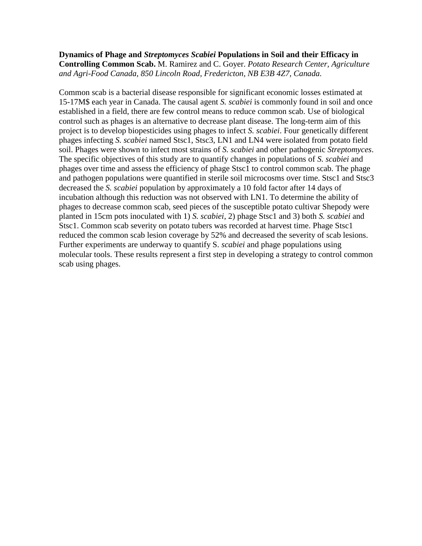# **Dynamics of Phage and** *Streptomyces Scabiei* **Populations in Soil and their Efficacy in Controlling Common Scab.** M. Ramirez and C. Goyer. *Potato Research Center, Agriculture and Agri-Food Canada, 850 Lincoln Road, Fredericton, NB E3B 4Z7, Canada.*

Common scab is a bacterial disease responsible for significant economic losses estimated at 15-17M\$ each year in Canada. The causal agent *S. scabiei* is commonly found in soil and once established in a field, there are few control means to reduce common scab. Use of biological control such as phages is an alternative to decrease plant disease. The long-term aim of this project is to develop biopesticides using phages to infect *S. scabiei*. Four genetically different phages infecting *S. scabiei* named Stsc1, Stsc3, LN1 and LN4 were isolated from potato field soil. Phages were shown to infect most strains of *S. scabiei* and other pathogenic *Streptomyces*. The specific objectives of this study are to quantify changes in populations of *S. scabiei* and phages over time and assess the efficiency of phage Stsc1 to control common scab. The phage and pathogen populations were quantified in sterile soil microcosms over time. Stsc1 and Stsc3 decreased the *S. scabiei* population by approximately a 10 fold factor after 14 days of incubation although this reduction was not observed with LN1. To determine the ability of phages to decrease common scab, seed pieces of the susceptible potato cultivar Shepody were planted in 15cm pots inoculated with 1) *S. scabiei*, 2) phage Stsc1 and 3) both *S. scabiei* and Stsc1. Common scab severity on potato tubers was recorded at harvest time. Phage Stsc1 reduced the common scab lesion coverage by 52% and decreased the severity of scab lesions. Further experiments are underway to quantify S. *scabiei* and phage populations using molecular tools. These results represent a first step in developing a strategy to control common scab using phages.